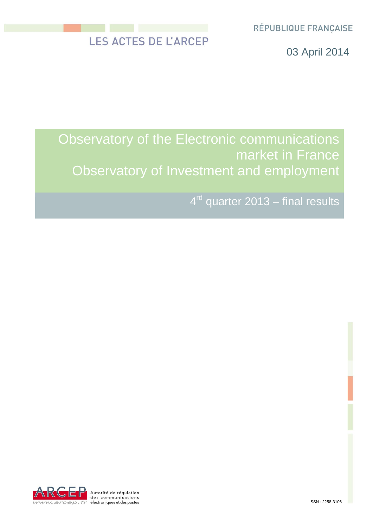RÉPUBLIQUE FRANÇAISE

# LES ACTES DE L'ARCEP

03 April 2014

# Observatory of the Electronic communications market in France Observatory of Investment and employment

4<sup>rd</sup> quarter 2013 – final results

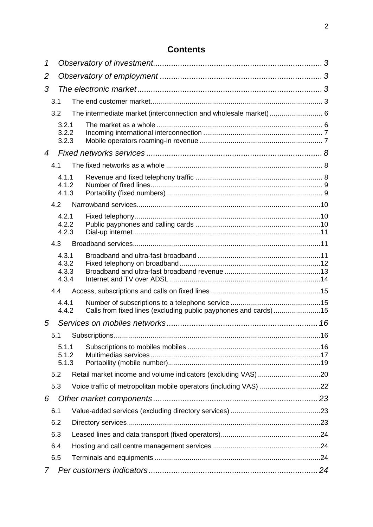# **Contents**

| 1   |                |                                                                  |     |
|-----|----------------|------------------------------------------------------------------|-----|
| 2   |                |                                                                  |     |
| 3   |                |                                                                  |     |
|     | 3.1            |                                                                  |     |
|     | 3.2            |                                                                  |     |
|     | 3.2.1          |                                                                  |     |
|     | 3.2.2<br>3.2.3 |                                                                  |     |
| 4   |                |                                                                  |     |
|     | 4.1            |                                                                  |     |
|     | 4.1.1          |                                                                  |     |
|     | 4.1.2          |                                                                  |     |
|     | 4.1.3          |                                                                  |     |
|     | 4.2            |                                                                  |     |
|     | 4.2.1<br>4.2.2 |                                                                  |     |
|     | 4.2.3          |                                                                  |     |
|     | 4.3            |                                                                  |     |
|     | 4.3.1          |                                                                  |     |
|     | 4.3.2<br>4.3.3 |                                                                  |     |
|     | 4.3.4          |                                                                  |     |
|     | 4.4            |                                                                  |     |
|     | 4.4.1          |                                                                  |     |
|     | 4.4.2          | Calls from fixed lines (excluding public payphones and cards) 15 |     |
| 5   |                |                                                                  |     |
|     | 5.1            |                                                                  | .16 |
|     | 5.1.1          |                                                                  |     |
|     | 5.1.2<br>5.1.3 |                                                                  |     |
|     | 5.2            |                                                                  |     |
|     | 5.3            |                                                                  |     |
| 6   |                |                                                                  |     |
| 6.1 |                |                                                                  |     |
|     | 6.2            |                                                                  |     |
|     | 6.3            |                                                                  |     |
|     | 6.4            |                                                                  |     |
|     | 6.5            |                                                                  |     |
| 7   |                |                                                                  |     |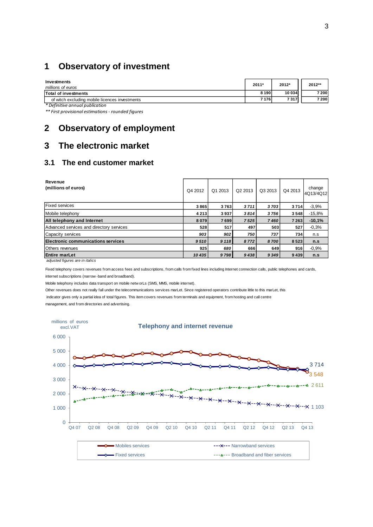# <span id="page-2-0"></span>**1 Observatory of investment**

| Investments<br>millions of euros               | 2011*   | 2012*  | 2012** |
|------------------------------------------------|---------|--------|--------|
| Total of investments                           | 8 1 9 0 | 10 034 | 7 200  |
| of witch excluding mobile licences investments | 7 1 7 6 | 7317   | 7 200  |
| * Definitive annual publication                |         |        |        |

<span id="page-2-1"></span>*\*\* First provisional estimations - rounded figures*

# **2 Observatory of employment**

# <span id="page-2-2"></span>**3 The electronic market**

# <span id="page-2-3"></span>**3.1 The end customer market**

| Revenue<br>(millions of euros)            | Q4 2012 | Q1 2013 | Q <sub>2</sub> 2013 | Q3 2013 | Q4 2013 | change<br>4Q13/4Q12 |
|-------------------------------------------|---------|---------|---------------------|---------|---------|---------------------|
| <b>Fixed services</b>                     | 3865    | 3763    | 3711                | 3703    | 3714    | $-3,9%$             |
| Mobile telephony                          | 4213    | 3937    | 3814                | 3756    | 3548    | $-15,8%$            |
| All telephony and Internet                | 8079    | 7699    | 7525                | 7460    | 7 2 6 3 | $-10,1%$            |
| Advanced services and directory services  | 528     | 517     | 497                 | 503     | 527     | $-0.3%$             |
| Capacity services                         | 903     | 902     | 750                 | 737     | 734     | n.s                 |
| <b>Electronic communications services</b> | 9510    | 9 1 1 8 | 8772                | 8700    | 8523    | n.s                 |
| <b>Others</b> revenues                    | 925     | 680     | 666                 | 649     | 916     | $-0,9%$             |
| <b>Entire marLet</b>                      | 10435   | 9798    | 9438                | 9 3 4 9 | 9439    | n.s                 |

 *adjusted figures are in italics*

Fixed telephony covers revenues from access fees and subscriptions, from calls from fixed lines including Internet connection calls, public telephones and cards, internet subscriptions (narrow -band and broadband).

Mobile telephony includes data transport on mobile netw orLs (SMS, MMS, mobile internet).

Other revenues does not really fall under the telecommunications services marLet. Since registered operators contribute little to this marLet, this

indicator gives only a partial idea of total figures. This item covers revenues from terminals and equipment, from hosting and call centre

management, and from directories and advertising.

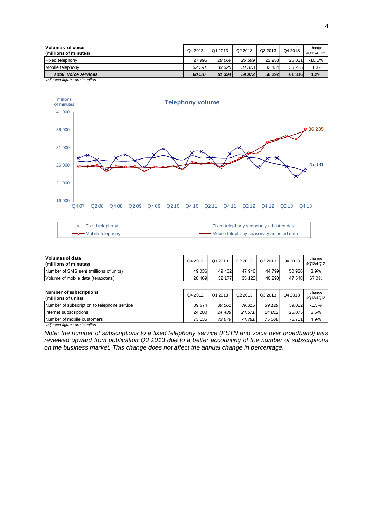| <b>Volumes of voice</b><br>(millions of minutes) | Q4 2012 | Q1 2013 | Q2 2013 | Q3 2013 | Q4 2013 | change<br>4Q13/4Q12 |
|--------------------------------------------------|---------|---------|---------|---------|---------|---------------------|
| <b>Fixed telephony</b>                           | 27 996  | 28 069  | 25 599  | 22 958  | 25 031  | -10,6%              |
| Mobile telephony                                 | 32 591  | 33 325  | 34 373  | 33 434  | 36 285  | 11,3%               |
| voice services<br>Total                          | 60 587  | 61 394  | 59 972  | 56 392  | 61 316  | 1,2%                |
| adjusted figures are in italics                  |         |         |         |         |         |                     |



\* Fixed telephony Fixed telephony seasonaly adjusted data ÷, **- Mobile telephony** Mobile telephony seasonaly adjusted data

| Volumes of data<br>(millions of minutes) | Q4 2012 | Q1 2013 | Q <sub>2</sub> 2013 | Q3 2013 | Q4 2013 | change<br>4Q13/4Q12 |
|------------------------------------------|---------|---------|---------------------|---------|---------|---------------------|
| Number of SMS sent (millions of units)   | 49 036  | 49 432  | 47 946              | 44 799  | 50 936  | 3,9%                |
| Volume of mobile data (teraoctets)       | 28 4 69 | 32 177  | 35 123              | 40 290  | 47 548  | 67,0%               |

| Number of subscriptions<br>(millions of units) | Q4 2012 | Q1 2013 | Q <sub>2</sub> 2013 | Q3 2013 | Q4 2013 | change<br>4Q13/4Q12 |
|------------------------------------------------|---------|---------|---------------------|---------|---------|---------------------|
| Number of subscription to telephone service    | 39.674  | 39.561  | 39.315              | 39.129  | 39.082  | $-1,5%$             |
| Internet subscriptions                         | 24.200  | 24.438  | 24.571              | 24.812  | 25.075  | 3,6%                |
| Number of mobile customers                     | 73.135  | 73.679  | 74.781              | 75.508  | 76.751  | 4,9%                |

 *adjusted figures are in italics*

*Note: the number of subscriptions to a fixed telephony service (PSTN and voice over broadband) was reviewed upward from publication Q3 2013 due to a better accounting of the number of subscriptions on the business market. This change does not affect the annual change in percentage.*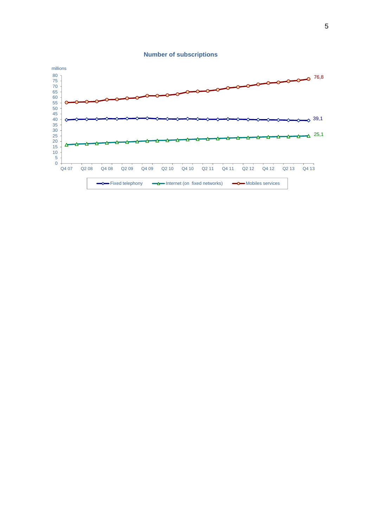

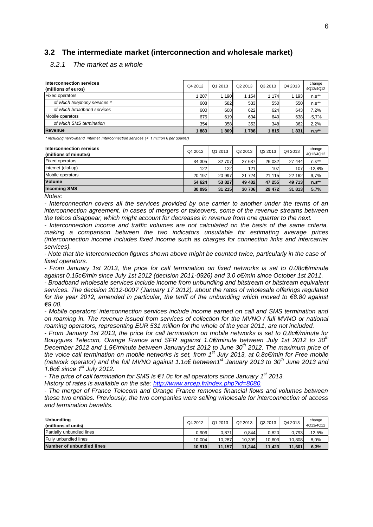### <span id="page-5-0"></span>**3.2 The intermediate market (interconnection and wholesale market)**

#### <span id="page-5-1"></span>*3.2.1 The market as a whole*

| Interconnection services<br>(millions of euros) |       | Q1 2013 | Q <sub>2</sub> 2013 | Q3 2013 | Q4 2013 | change<br>4Q13/4Q12 |
|-------------------------------------------------|-------|---------|---------------------|---------|---------|---------------------|
| <b>Fixed operators</b>                          | 1 207 | 1 1 9 0 | 1 1 5 4             | 1 1 7 4 | 193     | $n.s**$             |
| of which telephony services *                   | 608   | 582     | 533                 | 550     | 550     | $n.s**$             |
| of which broadband services                     | 600   | 608     | 622                 | 624     | 643     | 7,2%                |
| Mobile operators                                | 676   | 619     | 634                 | 640     | 638     | $-5,7%$             |
| of which SMS termination                        | 354   | 358     | 353                 | 348     | 362     | 2,2%                |
| Revenue                                         | 883   | 809     | 1788                | 1815    | 1831    | $n.s**$             |

*\* including narrowband internet interconnection services (< 1 million € per quarter)* 

| Interconnection services<br>(millions of minutes) | Q4 2012 | Q1 2013 | Q <sub>2</sub> 2013 | Q3 2013 | Q4 2013 | change<br>4Q13/4Q12 |
|---------------------------------------------------|---------|---------|---------------------|---------|---------|---------------------|
| <b>Fixed operators</b>                            | 34 305  | 32 707  | 27 637              | 26 032  | 27 444  | $n.s**$             |
| Internet (dial-up)                                | 122     | 122     | 121                 | 107     | 107     | $-12,8%$            |
| Mobile operators                                  | 20 197  | 20 997  | 21 724              | 21 115  | 22 162  | 9,7%                |
| <b>Volume</b>                                     | 54 624  | 53 827  | 49 482              | 47 255  | 49 713  | $n.s**$             |
| <b>Incoming SMS</b>                               | 30 095  | 31 215  | 30 706              | 29 472  | 31 813  | 5,7%                |

*Notes:*

*- Interconnection covers all the services provided by one carrier to another under the terms of an interconnection agreement. In cases of mergers or takeovers, some of the revenue streams between the telcos disappear, which might account for decreases in revenue from one quarter to the next.*

*- Interconnection income and traffic volumes are not calculated on the basis of the same criteria, making a comparison between the two indicators unsuitable for estimating average prices (interconnection income includes fixed income such as charges for connection links and intercarrier services).*

*- Note that the interconnection figures shown above might be counted twice, particularly in the case of fixed operators.*

*- From January 1st 2013, the price for call termination on fixed networks is set to 0.08c€/minute against 0.15c€/min since July 1st 2012 (decision 2011-0926) and 3.0 c€/min since October 1st 2011.*

*- Broadband wholesale services include income from unbundling and bitstream or bitstream equivalent services. The decision 2012-0007 (January 17 2012), about the rates of wholesale offerings regulated for the year 2012, amended in particular, the tariff of the unbundling which moved to €8.80 against €9.00.* 

*- Mobile operators' interconnection services include income earned on call and SMS termination and on roaming in. The revenue issued from services of collection for the MVNO / full MVNO or national roaming operators, representing EUR 531 million for the whole of the year 2011, are not included.*

*- From January 1st 2013, the price for call termination on mobile networks is set to 0,8c€/minute for Bouygues Telecom, Orange France and SFR against 1.0€/minute between July 1st 2012 to 30th December 2012 and 1.5€/minute between January1st 2012 to June 30th 2012. The maximum price of the voice call termination on mobile networks is set, from 1 st July 2013, at 0.8c€/min for Free mobile (network operator) and the full MVNO against 1.1c€ between1 st January 2013 to 30th June 2013 and 1.6c€ since 1st July 2012.*

*- The price of call termination for SMS is €1.0c for all operators since January 1 st 2013.*

*History of rates is available on the site: [http://www.arcep.fr/index.php?id=8080.](http://www.arcep.fr/index.php?id=8080)* 

*- The merger of France Telecom and Orange France removes financial flows and volumes between these two entities. Previously, the two companies were selling wholesale for interconnection of access and termination benefits.*

| <b>Unbundling</b><br>(millions of units) | Q4 2012 | Q1 2013 | Q2 2013 | Q3 2013 | Q4 2013 | change<br>4Q13/4Q12 |
|------------------------------------------|---------|---------|---------|---------|---------|---------------------|
| <b>Partially unbundled lines</b>         | 0.906   | 0.871   | 0.844   | 0.820   | 0.793   | $-12,5%$            |
| <b>Fully unbundled lines</b>             | 10.004  | 10.287  | 10.399  | 10.6031 | 10.808  | 8,0%                |
| Number of unbundled lines                | 10.910  | 11.157  | 11.244  | 11.423  | 11.601  | 6,3%                |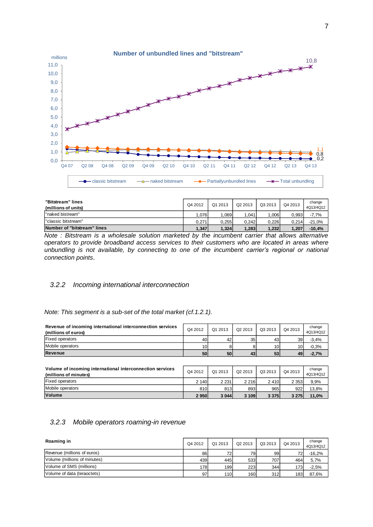

| "Bitstream" lines<br>(millions of units) | Q4 2012 | Q1 2013 | Q2 2013 | Q3 2013 | Q4 2013 | change<br>4Q13/4Q12 |
|------------------------------------------|---------|---------|---------|---------|---------|---------------------|
| "naked bistream"                         | .076    | .069    | .041    | .006    | 0.993.  | $-7,7%$             |
| "classic bitstream"                      | 0.271   | 0.255   | 0.242   | 0.226   | 0.214   | $-21.0%$            |
| Number of "bitstream" lines              | 1,347   | 1.324   | 1.283   | 1,232   | 1.207   | $-10.4%$            |

*Note : Bitstream is a wholesale solution marketed by the incumbent carrier that allows alternative operators to provide broadband access services to their customers who are located in areas where unbundling is not available, by connecting to one of the incumbent carrier's regional or national connection points*.

#### <span id="page-6-0"></span>*3.2.2 Incoming international interconnection*

*Note: This segment is a sub-set of the total market (cf.1.2.1).*

| Revenue of incoming international interconnection services<br>(millions of euros) | Q4 2012         | Q1 2013 | Q2 2013 | Q3 2013 | Q4 2013 | change<br>4Q13/4Q12 |
|-----------------------------------------------------------------------------------|-----------------|---------|---------|---------|---------|---------------------|
| <b>Fixed operators</b>                                                            | 40              | 42      | 35      | 43      | 39      | $-3.4%$             |
| Mobile operators                                                                  | 10 <sup>1</sup> |         |         | 10      | 10      | $-0.3%$             |
| <b>Revenue</b>                                                                    | 50              | 50      | 43      | 53      | 49      | $-2,7%$             |
|                                                                                   |                 |         |         |         |         |                     |

| Volume of incoming international interconnection services<br>(millions of minutes) | Q4 2012 | Q1 2013 | Q2 2013 | Q3 2013 | Q4 2013 | change<br>4Q13/4Q12 |
|------------------------------------------------------------------------------------|---------|---------|---------|---------|---------|---------------------|
| <b>Fixed operators</b>                                                             | 2 140   | 2 2 3 1 | 2 2 1 6 | 2410    | 2 3 5 3 | 9,9%                |
| Mobile operators                                                                   | 810     | 813     | 893     | 965     | 922     | 13,8%               |
| <b>Volume</b>                                                                      | 2 9 5 0 | 3 0 4 4 | 3 109   | 3 3 7 5 | 3 2 7 5 | 11,0%               |

### <span id="page-6-1"></span>*3.2.3 Mobile operators roaming-in revenue*

| Roaming in                   | Q4 2012 | Q1 2013 | Q2 2013    | Q3 2013 | Q4 2013 | change<br>4Q13/4Q12 |
|------------------------------|---------|---------|------------|---------|---------|---------------------|
| Revenue (millions of euros)  | 86      | 72      | 791        | 99      | 72      | $-16.2%$            |
| Volume (millions of minutes) | 439     | 445     | 533        | 707     | 464     | 5,7%                |
| Volume of SMS (millions)     | 178I    | 199     | <b>223</b> | 344     | 173     | $-2,5%$             |
| Volume of data (teraoctets)  | 97      | 110     | 160        | 312     | 183     | 87,6%               |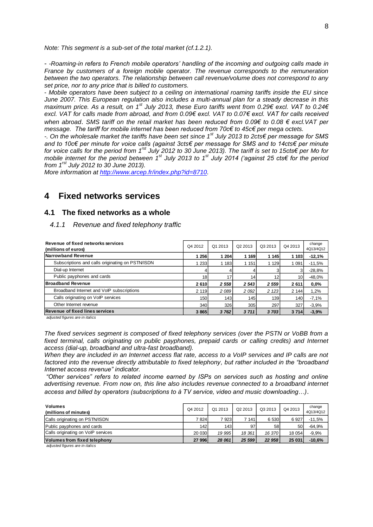*Note: This segment is a sub-set of the total market (cf.1.2.1).*

- *-Roaming-in refers to French mobile operators' handling of the incoming and outgoing calls made in France by customers of a foreign mobile operator. The revenue corresponds to the remuneration between the two operators. The relationship between call revenue/volume does not correspond to any set price, nor to any price that is billed to customers.*

- *Mobile operators have been subject to a ceiling on international roaming tariffs inside the EU since June 2007. This European regulation also includes a multi-annual plan for a steady decrease in this maximum price. As a result, on 1st July 2013, these Euro tariffs went from 0.29€ excl. VAT to 0.24€ excl. VAT for calls made from abroad, and from 0.09€ excl. VAT to 0.07€ excl. VAT for calls received when abroad*. *SMS tariff on the retail market has been reduced from 0.09€ to 0.08 € excl.VAT per message. The tariff for mobile internet has been reduced from 70c€ to 45c€ per mega octets.*

*-. On the wholesale market the tariffs have been set since 1st July 2013 to 2cts€ per message for SMS and to 10c€ per minute for voice calls (against 3cts€ per message for SMS and to 14cts€ per minute for voice calls for the period from 1 rst July 2012 to 30 June 2013). The tariff is set to 15cts€ per Mo for mobile internet for the period between 1st July 2013 to 1st July 2014 ('against 25 cts€ for the period from 1 rst July 2012 to 30 June 2013).*

*More information at [http://www.arcep.fr/index.php?id=8710.](http://www.arcep.fr/index.php?id=8710)*

# <span id="page-7-0"></span>**4 Fixed networks services**

#### <span id="page-7-1"></span>**4.1 The fixed networks as a whole**

#### <span id="page-7-2"></span>*4.1.1 Revenue and fixed telephony traffic*

| Revenue of fixed networks services<br>(millions of euros) | Q4 2012 | Q1 2013 | Q <sub>2</sub> 2013 | Q3 2013 | Q4 2013         | change<br>4Q13/4Q12 |
|-----------------------------------------------------------|---------|---------|---------------------|---------|-----------------|---------------------|
| Narrowband Revenue                                        | 1 256   | 204     | 1 169               | 1 1 4 5 | 1 1 0 3         | $-12,1%$            |
| Subscriptions and calls originating on PSTN/ISDN          | 233     | 1 183   | 1 1 5 1             | 1 1 2 9 | 1 0 9 1         | $-11,5%$            |
| Dial-up Internet                                          | 4       |         |                     |         |                 | $-28,8%$            |
| Public payphones and cards                                | 18      | 17      | 14                  | 12      | 10 <sub>1</sub> | $-48,0%$            |
| <b>Broadband Revenue</b>                                  | 2610    | 2 5 5 8 | 2 5 4 3             | 2 5 5 9 | 2611            | 0.0%                |
| Broadband Internet and VoIP subscriptions                 | 2 1 1 9 | 2 089   | 2 0 9 2             | 2 1 2 3 | 2 1 4 4         | 1,2%                |
| Calls originating on VoIP services                        | 150     | 143     | 145                 | 139     | 140             | $-7,1%$             |
| Other Internet revenue                                    | 340     | 326     | 305                 | 297     | 327             | $-3,9%$             |
| <b>Revenue of fixed lines services</b>                    | 3 8 6 5 | 3762    | 3711                | 3 703   | 3 7 1 4         | $-3,9%$             |

 *adjusted figures are in italics*

*The fixed services segment is composed of fixed telephony services (over the PSTN or VoBB from a fixed terminal, calls originating on public payphones, prepaid cards or calling credits) and Internet access (dial-up, broadband and ultra-fast broadband).*

*When they are included in an Internet access flat rate, access to a VoIP services and IP calls are not factored into the revenue directly attributable to fixed telephony, but rather included in the "broadband Internet access revenue" indicator.*

*"Other services" refers to related income earned by ISPs on services such as hosting and online advertising revenue. From now on, this line also includes revenue connected to a broadband internet access and billed by operators (subscriptions to à TV service, video and music downloading…)*.

| <b>Volumes</b><br>(millions of minutes) | Q4 2012       | Q1 2013 | Q2 2013 | Q3 2013 | Q4 2013   | change<br>4Q13/4Q12 |
|-----------------------------------------|---------------|---------|---------|---------|-----------|---------------------|
| Calls originating on PSTN/ISDN          | 7824          | 7 9231  | 7 141   | 6 5 3 0 | 6927      | $-11.5%$            |
| Public payphones and cards              | 142           | 143     | 97      | 58      | <b>50</b> | $-64.9%$            |
| Calls originating on VoIP services      | <b>20 030</b> | 19 995  | 18 361  | 16 370  | 18 054    | $-9,9%$             |
| Volumes from fixed telephony            | 27 996        | 28 061  | 25 599  | 22 958  | 25 031    | $-10,6%$            |
| adjusted figures are in italies.        |               |         |         |         |           |                     |

 *adjusted figures are in italics*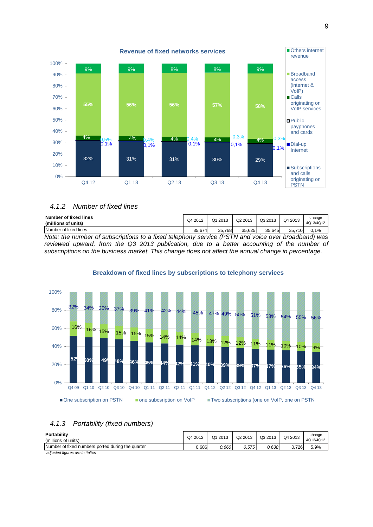

#### <span id="page-8-0"></span>*4.1.2 Number of fixed lines*

| Number of fixed lines<br>(millions of units)                                                       | Q4 2012 | Q1 2013 | Q <sub>2</sub> 2013 | Q3 2013 | Q4 2013 | change<br>4Q13/4Q12 |
|----------------------------------------------------------------------------------------------------|---------|---------|---------------------|---------|---------|---------------------|
| Number of fixed lines                                                                              | 35.674  | 35.768  | 35.625              | 35.645  | 35.710  | $0.1\%$             |
| Note: the number of subscriptions to a fixed telephony service (PSTN and voice over broadband) was |         |         |                     |         |         |                     |

*reviewed upward, from the Q3 2013 publication, due to a better accounting of the number of subscriptions on the business market. This change does not affect the annual change in percentage.*

# **52% 50% 49% 48% 46% 45% 44% 42% 41% 40% 39% 39% 37% 37% 36% 35% 34%** 16% 16% 15% 15% 15% 15% 14% 14% 14% 13% 12% 12% 11% 10% 10% 9%  $\frac{32\%}{34\%}$  35% 37% 39% 41% 42% 44% 45% 47% 49% 50% 51% 53% 54% 55% 56% 0% 20% 40% 60% 80% 100% Q4 09 Q1 10 Q2 10 Q3 10 Q4 10 Q1 11 Q2 11 Q3 11 Q4 11 Q1 12 Q2 12 Q3 12 Q4 12 Q1 13 Q2 13 Q3 13 Q4 13 ■ One subscription on PSTN ■ one subcsription on VoIP ■ Two subscriptions (one on VoIP, one on PSTN

#### **Breakdown of fixed lines by subscriptions to telephony services**

# <span id="page-8-1"></span>*4.1.3 Portability (fixed numbers)*

| Portability<br>(millions of units)                | Q4 2012 | Q1 2013 | Q2 2013 | Q3 2013 | Q4 2013 | change<br>4Q13/4Q12 |
|---------------------------------------------------|---------|---------|---------|---------|---------|---------------------|
| Number of fixed numbers ported during the quarter | 0.686   | 0.660   | 0.575   | 0.638   | 0.726   | 5,9%                |
| adjusted figures are in italics                   |         |         |         |         |         |                     |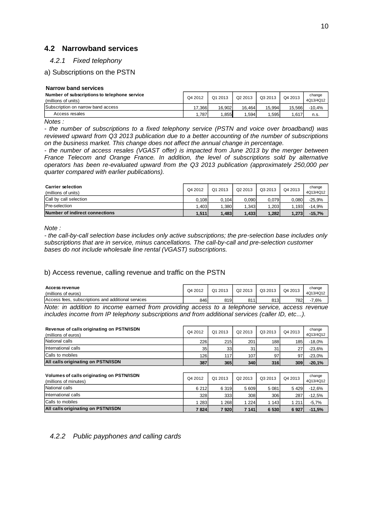# <span id="page-9-0"></span>**4.2 Narrowband services**

#### <span id="page-9-1"></span>*4.2.1 Fixed telephony*

### a) Subscriptions on the PSTN

#### **Narrow band services**

| Number of subscriptions to telephone service<br>(millions of units) | Q4 2012 | Q1 2013 | Q2 2013 | Q3 2013 | Q4 2013 | change<br>4Q13/4Q12 |
|---------------------------------------------------------------------|---------|---------|---------|---------|---------|---------------------|
| Subscription on narrow band access                                  | .366    | 16.902  | 16.464  | 15.994  | 15.5661 | -10.4%              |
| Access resales                                                      | .787    | .855    | .594    | .595    | .617    | n.s.                |

*Notes :*

*- the number of subscriptions to a fixed telephony service (PSTN and voice over broadband) was reviewed upward from Q3 2013 publication due to a better accounting of the number of subscriptions on the business market. This change does not affect the annual change in percentage.*

*- the number of access resales (VGAST offer) is impacted from June 2013 by the merger between France Telecom and Orange France. In addition, the level of subscriptions sold by alternative operators has been re-evaluated upward from the Q3 2013 publication (approximately 250,000 per quarter compared with earlier publications).*

| <b>Carrier selection</b><br>(millions of units) | Q4 2012 | Q1 2013 | Q <sub>2</sub> 2013 | Q3 2013 | Q4 2013 | change<br>4Q13/4Q12 |
|-------------------------------------------------|---------|---------|---------------------|---------|---------|---------------------|
| Call by call selection                          | 0.108   | 0.104   | 0.0901              | 0.079   | 0.080   | $-25.9%$            |
| Pre-selection                                   | .403    | 1.380   | 1.343               | .203    | .193    | $-14.9%$            |
| Number of indirect connections                  | 1.511   | 1.483   | 1.433               | 1.282   | 1.273   | $-15,7%$            |

*Note :*

*- the call-by-call selection base includes only active subscriptions; the pre-selection base includes only subscriptions that are in service, minus cancellations. The call-by-call and pre-selection customer bases do not include wholesale line rental (VGAST) subscriptions.*

#### b) Access revenue, calling revenue and traffic on the PSTN

| <b>Access revenue</b><br>(millions of euros)                                                          | Q4 2012 | Q1 2013 | Q <sub>2</sub> 2013 | Q3 2013 | Q4 2013 | change<br>4Q13/4Q12 |
|-------------------------------------------------------------------------------------------------------|---------|---------|---------------------|---------|---------|---------------------|
| Access fees, subscriptions and additional services                                                    | 846     | 819     | 811                 | 813     | 7821    | $-7.6%$             |
| in addition to income earned from providing access to a telephone service, access revenue<br>$M$ nter |         |         |                     |         |         |                     |

*Note: in addition to income earned from providing access to a telephone service, access includes income from IP telephony subscriptions and from additional services (caller ID, etc...).* 

| Revenue of calls originating on PSTN/ISDN<br>(millions of euros) | Q4 2012 | Q1 2013         | Q2 2013 | Q3 2013 | Q4 2013 | change<br>4Q13/4Q12 |
|------------------------------------------------------------------|---------|-----------------|---------|---------|---------|---------------------|
| National calls                                                   | 226     | 215             | 201     | 188     | 185     | $-18,0%$            |
| International calls                                              | 35      | 33 <sub>1</sub> | 31      | 31      | 27      | $-23.6%$            |
| Calls to mobiles                                                 | 1261    | 117             | 107     | 97      | 97      | $-23.0%$            |
| All calls originating on PSTN/ISDN                               | 387     | 365             | 340     | 316     | 309     | $-20,1%$            |
|                                                                  |         |                 |         |         |         |                     |

| Volumes of calls originating on PSTN/ISDN<br>(millions of minutes) | Q4 2012 | Q1 2013 | Q2 2013 | Q3 2013 | Q4 2013 | change<br>4Q13/4Q12 |
|--------------------------------------------------------------------|---------|---------|---------|---------|---------|---------------------|
| National calls                                                     | 6 2 1 2 | 6319    | 5 609   | 5 0 8 1 | 5 4 2 9 | $-12,6%$            |
| International calls                                                | 328     | 333     | 308     | 306     | 287     | $-12,5%$            |
| Calls to mobiles                                                   | 283     | 268     | 1 224   | 1 1 4 3 | 1 2 1 1 | $-5,7%$             |
| All calls originating on PSTN/ISDN                                 | 7824    | 7920    | 7 141   | 6 5 30  | 6927    | $-11,5%$            |

# <span id="page-9-2"></span>*4.2.2 Public payphones and calling cards*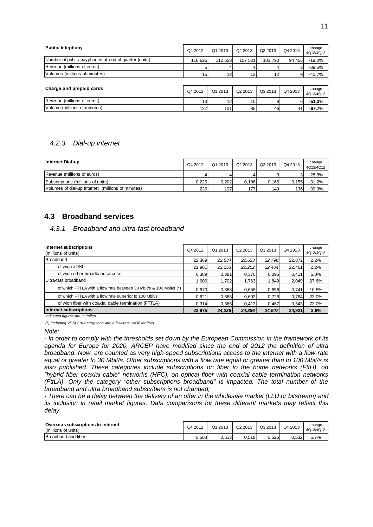| <b>Public telephony</b>                              | Q4 2012         | Q1 2013 | Q <sub>2</sub> 2013 | Q3 2013 | Q4 2013 | change<br>4Q13/4Q12 |
|------------------------------------------------------|-----------------|---------|---------------------|---------|---------|---------------------|
| Number of public payphones at end of quarter (units) | 116 626         | 112 658 | 107 521             | 101 790 | 94 455  | $-19,0%$            |
| Revenue (millions of euros)                          | 5               |         |                     |         |         | $-39.5%$            |
| Volumes (millions of minutes)                        | 15 <sub>1</sub> | 12      | 12                  | 12      | 9       | $-40,7%$            |
|                                                      |                 |         |                     |         |         |                     |
| Charge and prepaid cards                             | Q4 2012         | Q1 2013 | Q <sub>2</sub> 2013 | Q3 2013 | Q4 2013 | change<br>4Q13/4Q12 |
| Revenue (millions of euros)                          | 13 <sub>l</sub> | 12      | 10 <sup>1</sup>     |         |         | $-51,3%$            |
| Volume (millions of minutes)                         | 127             | 131     | 85                  | 46      | 41      | $-67,7%$            |

#### <span id="page-10-0"></span>*4.2.3 Dial-up internet*

| <b>Internet Dial-up</b>                           | Q4 2012 | Q1 2013 | Q <sub>2</sub> 2013 | Q3 2013 | Q4 2013 | change<br>4Q13/4Q12 |
|---------------------------------------------------|---------|---------|---------------------|---------|---------|---------------------|
| Revenue (millions of euros)                       | 4       |         |                     |         |         | $-28.8%$            |
| Subscriptions (millions of units)                 | 0,225   | 0,202   | 0.186               | 0.165   | 0.155   | $-31,2%$            |
| Volumes of dial-up Internet (millions of minutes) | 226     | 197     | 177                 | 149     | 136     | -39.9%              |

# <span id="page-10-1"></span>**4.3 Broadband services**

#### <span id="page-10-2"></span>*4.3.1 Broadband and ultra-fast broadband*

| Internet subscriptions<br>(millions of units)                      | Q4 2012 | Q1 2013 | Q <sub>2</sub> 2013 | Q3 2013 | Q4 2013 | change<br>4Q13/4Q12 |
|--------------------------------------------------------------------|---------|---------|---------------------|---------|---------|---------------------|
| <b>Broadband</b>                                                   | 22,369  | 22,534  | 22,623              | 22,798  | 22,872  | 2,2%                |
| of wich xDSL                                                       | 21,981  | 22, 153 | 22,252              | 22.404  | 22,461  | 2,2%                |
| of wich other broadband access                                     | 0,389   | 0.381   | 0,370               | 0.395   | 0.411   | 5,8%                |
| Ultra-fast broadband                                               | 1.606   | 1.702   | 1,763               | 1.849   | 2,049   | 27,6%               |
| of which FTTLA with a flow rate between 30 Mbit/s & 100 Mbit/s (*) | 0.670   | 0.668   | 0.658               | 0.656   | 0.741   | 10,5%               |
| of which FTTLA with a flow rate superior to 100 Mbit/s             | 0.621   | 0.668   | 0.692               | 0.726   | 0,764   | 23,0%               |
| of wich fiber with coaxial cable termination (FTTLA)               | 0,314   | 0.366   | 0.413               | 0.467   | 0,543   | 73,0%               |
| Internet subscriptions                                             | 23.975  | 24.236  | 24.386              | 24.647  | 24.921  | 3.9%                |

 *adjusted figures are in italics*

*(\*) including VDSL2 subscriptions with a flow rate >=30 Mbits/s*

*Note:* 

*- In order to comply with the thresholds set down by the European Commission in the framework of its agenda for Europe for 2020, ARCEP have modified since the end of 2012 the definition of ultra broadband. Now, are counted as very high-speed subscriptions access to the internet with a flow-rate equal or greater to 30 Mbit/s. Other subscriptions with a flow rate equal or greater than to 100 Mbit/s is also published. These categories include subscriptions on fiber to the home networks (FttH), on "hybrid fiber coaxial cable" networks (HFC), on optical fiber with coaxial cable termination networks (FttLA). Only the category "other subscriptions broadband" is impacted. The total number of the broadband and ultra broadband subscribers is not changed;*

*- There can be a delay between the delivery of an offer in the wholesale market (LLU or bitstream) and its inclusion in retail market figures. Data comparisons for these different markets may reflect this delay.*

| Overseas subscriptions to internet<br>(millions of units) | Q4 2012 | Q1 2013 | Q2 2013 | Q3 2013 | Q4 2013 | change<br>4Q13/4Q12 |
|-----------------------------------------------------------|---------|---------|---------|---------|---------|---------------------|
| Broadband and fiber                                       | 0.503   | 0.513   | J.518   | 0.526   | 0.532   | 5,7%                |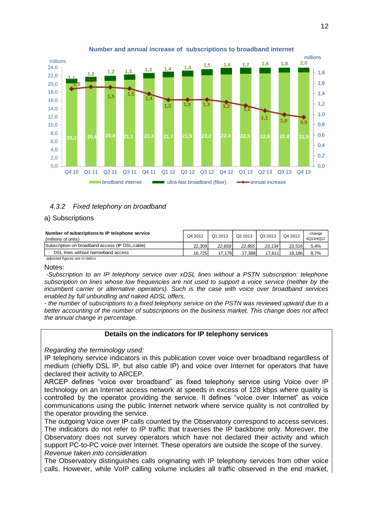

#### **Number and annual increase of subscriptions to broadband internet**

### <span id="page-11-0"></span>*4.3.2 Fixed telephony on broadband*

#### a) Subscriptions

| Number of subscriptions to IP telephone service<br>(millions of units)                                                                                                                                                         | Q4 2012 | Q1 2013 | Q2 2013 | Q3 2013 | Q4 2013 | change<br>4Q13/4Q12 |
|--------------------------------------------------------------------------------------------------------------------------------------------------------------------------------------------------------------------------------|---------|---------|---------|---------|---------|---------------------|
| Subscription on broadband access (IP DSL, cable)                                                                                                                                                                               | 22.309  | 22.659  | 22.855  | 23.134  | 23.516  | 5,4%                |
| DSL lines without narrowband access                                                                                                                                                                                            | 16.7251 | 17.178  | 17.388  | 17.811  | 18.1861 | 8,7%                |
| and the send of the company and the thing of the sense of the sense of the sense of the sense of the sense of the sense of the sense of the sense of the sense of the sense of the sense of the sense of the sense of the sens |         |         |         |         |         |                     |

 *adjusted figures are in italics*

Notes:

*-Subscription to an IP telephony service over xDSL lines without a PSTN subscription: telephone subscription on lines whose low frequencies are not used to support a voice service (neither by the incumbent carrier or alternative operators). Such is the case with voice over broadband services enabled by full unbundling and naked ADSL offers.*

*- the number of subscriptions to a fixed telephony service on the PSTN was reviewed upward due to a better accounting of the number of subscriptions on the business market. This change does not affect the annual change in percentage.*

#### **Details on the indicators for IP telephony services**

*Regarding the terminology used:*

IP telephony service indicators in this publication cover voice over broadband regardless of medium (chiefly DSL IP, but also cable IP) and voice over Internet for operators that have declared their activity to ARCEP.

ARCEP defines "voice over broadband" as fixed telephony service using Voice over IP technology on an Internet access network at speeds in excess of 128 kbps where quality is controlled by the operator providing the service. It defines "voice over Internet" as voice communications using the public Internet network where service quality is not controlled by the operator providing the service.

The outgoing Voice over IP calls counted by the Observatory correspond to access services. The indicators do not refer to IP traffic that traverses the IP backbone only. Moreover, the Observatory does not survey operators which have not declared their activity and which support PC-to-PC voice over Internet. These operators are outside the scope of the survey. *Revenue taken into consideration*

The Observatory distinguishes calls originating with IP telephony services from other voice calls. However, while VoIP calling volume includes all traffic observed in the end market,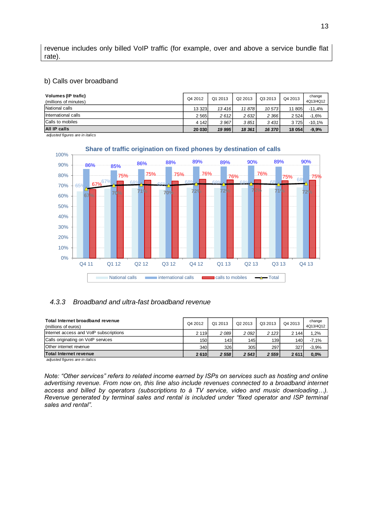revenue includes only billed VoIP traffic (for example, over and above a service bundle flat rate).

#### b) Calls over broadband

| Volumes (IP trafic)<br>(millions of minutes) | Q4 2012 | Q1 2013 | Q <sub>2</sub> 2013 | Q3 2013 | Q4 2013 | change<br>4Q13/4Q12 |
|----------------------------------------------|---------|---------|---------------------|---------|---------|---------------------|
| National calls                               | 13 323  | 13416   | 11 8781             | 10 573  | 11 805  | $-11,4%$            |
| International calls                          | 2 5 6 5 | 2612    | 2 6 3 2             | 2 3 6 6 | 2 5 24  | $-1,6%$             |
| Calls to mobiles                             | 4 1 4 2 | 3 9 6 7 | 3851                | 3431    | 3725    | $-10,1%$            |
| All IP calls                                 | 20 030  | 19 995  | 18 361              | 16 370  | 18 054  | $-9,9%$             |

 *adjusted figures are in italics*



#### **Share of traffic origination on fixed phones by destination of calls**

#### <span id="page-12-0"></span>*4.3.3 Broadband and ultra-fast broadband revenue*

| Total Internet broadband revenue<br>(millions of euros) | Q4 2012 | Q1 2013 | Q2 2013 | Q3 2013 | Q4 2013          | change<br>4Q13/4Q12 |
|---------------------------------------------------------|---------|---------|---------|---------|------------------|---------------------|
| Internet access and VoIP subscriptions                  | 2 1 1 9 | 2 089   | 2 0 9 2 | 2 1 2 3 | 2 1 4 4          | 1,2%                |
| Calls originating on VoIP services                      | 150     | 143     | 145     | 139     | 140 <sub>1</sub> | $-7,1%$             |
| Other internet revenue                                  | 340     | 326     | 305     | 297     | 327              | $-3,9%$             |
| Total Internet revenue                                  | 2610    | 2 5 5 8 | 2 5 4 3 | 2 5 5 9 | 2611             | $0.0\%$             |

 *adjusted figures are in italics*

*Note: "Other services" refers to related income earned by ISPs on services such as hosting and online advertising revenue. From now on, this line also include revenues connected to a broadband internet access and billed by operators (subscriptions to à TV service, video and music downloading…). Revenue generated by terminal sales and rental is included under "fixed operator and ISP terminal sales and rental".*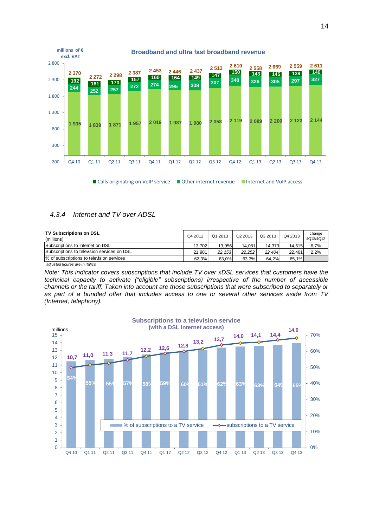

#### <span id="page-13-0"></span>*4.3.4 Internet and TV over ADSL*

| <b>TV Subscriptions on DSL</b><br>(millions) | Q4 2012 | Q1 2013 | Q2 2013 | Q3 2013 | Q4 2013 | change<br>4Q13/4Q12 |
|----------------------------------------------|---------|---------|---------|---------|---------|---------------------|
| Subscriptions to Internet on DSL             | 13.702  | 13.956  | 14.081  | 14.373  | 14.615  | 6,7%                |
| Subscriptions to television services on DSL  | 21.981  | 22.153  | 22.252  | 22.404  | 22.461  | 2,2%                |
| % of subscriptions to television services    | 62.3%   | 63.0%   | 63.3%   | 64.2%   | 65.1%   |                     |
| adjusted figures are in italics              |         |         |         |         |         |                     |

*Note: This indicator covers subscriptions that include TV over xDSL services that customers have the technical capacity to activate ("eligible" subscriptions) irrespective of the number of accessible channels or the tariff. Taken into account are those subscriptions that were subscribed to separately or as part of a bundled offer that includes access to one or several other services aside from TV (Internet, telephony).*

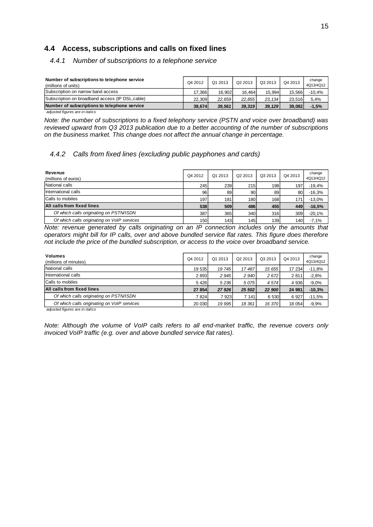# <span id="page-14-0"></span>**4.4 Access, subscriptions and calls on fixed lines**

# <span id="page-14-1"></span>*4.4.1 Number of subscriptions to a telephone service*

| Number of subscriptions to telephone service<br>(millions of units) | Q4 2012 | Q1 2013 | Q <sub>2</sub> 2013 | Q3 2013 | Q4 2013 | change<br>4Q13/4Q12 |
|---------------------------------------------------------------------|---------|---------|---------------------|---------|---------|---------------------|
| Subscription on narrow band access                                  | 17.366  | 16.902  | 16.464              | 15.994  | 15.566  | $-10,4%$            |
| Subscription on broadband access (IP DSL, cable)                    | 22.309  | 22.659  | 22.855              | 23.134  | 23.516  | 5,4%                |
| Number of subscriptions to telephone service                        | 39.674  | 39.561  | 39.319              | 39.129  | 39.082  | $-1,5%$             |

 *adjusted figures are in italics*

*Note: the number of subscriptions to a fixed telephony service (PSTN and voice over broadband) was reviewed upward from Q3 2013 publication due to a better accounting of the number of subscriptions on the business market. This change does not affect the annual change in percentage.*

# <span id="page-14-2"></span>*4.4.2 Calls from fixed lines (excluding public payphones and cards)*

| Revenue<br>(millions of euros)              | Q4 2012 | Q1 2013 | Q2 2013 | Q3 2013 | Q4 2013    | change<br>4Q13/4Q12 |
|---------------------------------------------|---------|---------|---------|---------|------------|---------------------|
| National calls                              | 245     | 239     | 215     | 1981    | 197        | $-19,4%$            |
| International calls                         | 96      | 89      | 90      | 89      | 80         | $-16,3%$            |
| Calls to mobiles                            | 197     | 181     | 180     | 1681    | 17 $\cdot$ | $-13,0%$            |
| All calls from fixed lines                  | 538     | 509     | 486     | 455     | 449        | $-16,5%$            |
| Of which calls originating on PSTN/ISDN     | 387     | 365     | 340     | 316     | 309        | $-20,1%$            |
| Of which calls originating on VoIP services | 150     | 143     | 145     | 139     | 140        | $-7.1%$             |

*Note: revenue generated by calls originating on an IP connection includes only the amounts that operators might bill for IP calls, over and above bundled service flat rates. This figure does therefore not include the price of the bundled subscription, or access to the voice over broadband service.*

| Volumes<br>(millions of minutes)            | Q4 2012 | Q1 2013 | Q2 2013 | Q3 2013 | Q4 2013 | change<br>4Q13/4Q12 |
|---------------------------------------------|---------|---------|---------|---------|---------|---------------------|
| National calls                              | 19 535  | 19 745  | 17487   | 15 655  | 17 234  | $-11,8%$            |
| International calls                         | 2893    | 2 9 4 5 | 2 9 4 0 | 2 672   | 2811    | $-2,8%$             |
| Calls to mobiles                            | 5426    | 5236    | 5075    | 4574    | 4 9 3 6 | $-9.0%$             |
| All calls from fixed lines                  | 27 854  | 27 9 26 | 25 502  | 22 900  | 24 981  | $-10,3%$            |
| Of which calls originating on PSTN/ISDN     | 7824    | 7923    | 7 141   | 6 5 3 0 | 6927    | $-11,5%$            |
| Of which calls originating on VoIP services | 20 030  | 19 995  | 18 361  | 16 370  | 18 054  | $-9,9%$             |

 *adjusted figures are in italics*

*Note: Although the volume of VoIP calls refers to all end-market traffic, the revenue covers only invoiced VoIP traffic (e.g. over and above bundled service flat rates).*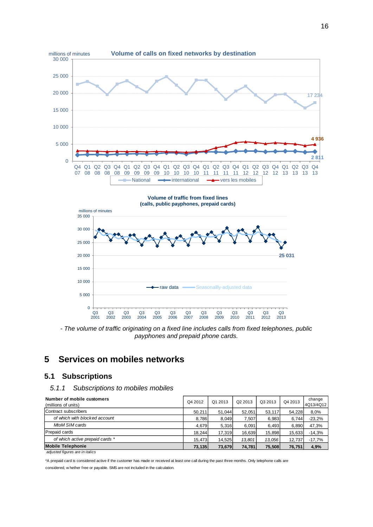

*- The volume of traffic originating on a fixed line includes calls from fixed telephones, public payphones and prepaid phone cards.*

# <span id="page-15-0"></span>**5 Services on mobiles networks**

# <span id="page-15-1"></span>**5.1 Subscriptions**

### <span id="page-15-2"></span>*5.1.1 Subscriptions to mobiles mobiles*

| Number of mobile customers<br>(millions of units) | Q4 2012 | Q1 2013 | Q <sub>2</sub> 2013 | Q3 2013 | Q4 2013 | change<br>4Q13/4Q12 |
|---------------------------------------------------|---------|---------|---------------------|---------|---------|---------------------|
| Contract subscribers                              | 50.211  | 51.044  | 52.051              | 53.117  | 54.228  | 8,0%                |
| of which with blocked account                     | 8,786   | 8,049   | 7.507               | 6.983   | 6.744   | $-23,2%$            |
| MtoM SIM cards                                    | 4.679   | 5,316   | 6.091               | 6.493   | 6,890   | 47,3%               |
| <b>Prepaid cards</b>                              | 18.244  | 17.319  | 16.639              | 15.898  | 15.633  | $-14,3%$            |
| of which active prepaid cards *                   | 15.473  | 14.525  | 13.801              | 13.056  | 12.737  | $-17,7%$            |
| <b>Mobile Telephonie</b>                          | 73,135  | 73,679  | 74,781              | 75.508  | 76.751  | 4,9%                |

 *adjusted figures are in italics*

\*A prepaid card is considered active if the customer has made or received at least one call during the past three months. Only telephone calls are considered, w hether free or payable. SMS are not included in the calculation.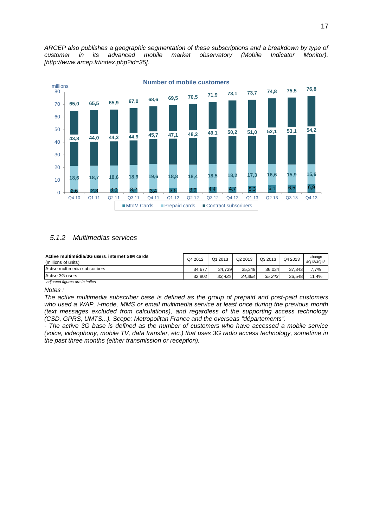*ARCEP also publishes a geographic segmentation of these subscriptions and a breakdown by type of customer in its advanced mobile market observatory (Mobile Indicator Monitor). [http://www.arcep.fr/index.php?id=35].*



#### <span id="page-16-0"></span>*5.1.2 Multimedias services*

| Active multimédia/3G users, internet SIM cards<br>(millions of units) | Q4 2012 | Q1 2013 | Q <sub>2</sub> 2013 | Q3 2013 | Q4 2013 | change<br>4Q13/4Q12 |
|-----------------------------------------------------------------------|---------|---------|---------------------|---------|---------|---------------------|
| Active multimedia subscribers                                         | 34.677  | 34.739  | 35.349              | 36.034  | 37.343  | 7,7%                |
| Active 3G users                                                       | 32.802  | 33.432  | 34.368              | 35.243  | 36.548  | 11,4%               |
| adjusted figures are in italics                                       |         |         |                     |         |         |                     |

*Notes :*

*The active multimedia subscriber base is defined as the group of prepaid and post-paid customers who used a WAP, i-mode, MMS or email multimedia service at least once during the previous month (text messages excluded from calculations), and regardless of the supporting access technology (CSD, GPRS, UMTS...). Scope: Metropolitan France and the overseas "départements".*

*- The active 3G base is defined as the number of customers who have accessed a mobile service (voice, videophony, mobile TV, data transfer, etc.) that uses 3G radio access technology, sometime in the past three months (either transmission or reception).*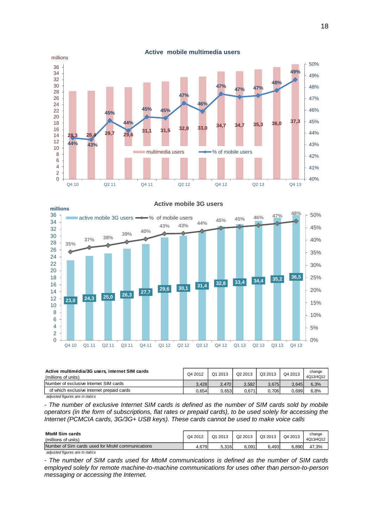

**23,0 24,3 25,0 26,3 27,7 29,6 30,1 31,4 32,8 33,4 34,4 35,2 36,5 35% 37% 38% 39% 40% 43% 43% 44% 45% 45% 46% 47% 48%**  $0\%$ 5% 10% 15% 20% 25% 30% 35% 40% 45% 50% 0 2 4 6 8 10 12 14 16 18 20 22 24 26 28 30 32 34 36 Q4 10 Q1 11 Q2 11 Q3 11 Q4 11 Q1 12 Q2 12 Q3 12 Q4 12 Q1 13 Q2 13 Q3 13 Q4 13 **millions** active mobile 3G users  $\rightarrow\rightarrow\%$  of mobile users

**Active mobile 3G users**

| Active multimédia/3G users, internet SIM cards<br>(millions of units) | Q4 2012 | Q1 2013 | Q2 2013 | Q3 2013 | Q4 2013 | change<br>4Q13/4Q12 |
|-----------------------------------------------------------------------|---------|---------|---------|---------|---------|---------------------|
| Number of exclusive Internet SIM cards                                | 3.428   | 3.470   | 3.582   | 3.675   | 3.645   | 6,3%                |
| of which exclusive Internet prepaid cards                             | 0.654   | 0.653   | 0.671   | 0.706   | 0.699   | 6,8%                |

 *adjusted figures are in italics*

*- The number of exclusive Internet SIM cards is defined as the number of SIM cards sold by mobile operators (in the form of subscriptions, flat rates or prepaid cards), to be used solely for accessing the Internet (PCMCIA cards, 3G/3G+ USB keys). These cards cannot be used to make voice calls*

| <b>MtoM Sim cards</b><br>(millions of units)     | Q4 2012 | Q1 2013 | Q2 2013 | Q3 2013 | Q4 2013 | change<br>4Q13/4Q12 |
|--------------------------------------------------|---------|---------|---------|---------|---------|---------------------|
| Number of Sim cards used for MtoM communications | 4.679   | 5.316   | 6.091   | 6,493   | 6.890   | 47,3%               |

 *adjusted figures are in italics*

*- The number of SIM cards used for MtoM communications is defined as the number of SIM cards employed solely for remote machine-to-machine communications for uses other than person-to-person messaging or accessing the Internet.*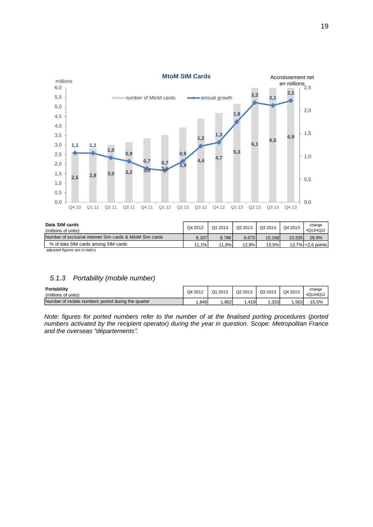

| Data SIM cards<br>(millions of units)                   | Q4 2012 | Q1 2013 | Q2 2013 | Q3 2013 | Q4 2013 | change<br>4Q13/4Q12  |
|---------------------------------------------------------|---------|---------|---------|---------|---------|----------------------|
| Number of exclusive internet Sim cards & MtoM Sim cards | 8.107   | 8.786   | 9.673   | 10.168  | 10.535  | 29,9%                |
| % of data SIM cards among SIM cards                     | 11.1%   | 11,9%   | 12,9%   | 13.5%   |         | $13.7\%$ +2,6 points |

# <span id="page-18-0"></span>*5.1.3 Portability (mobile number)*

| Portability<br>(millions of units)                 | Q4 2012 | Q1 2013 | Q2 2013 | Q3 2013           | Q4 2013 | change<br>4Q13/4Q12 |
|----------------------------------------------------|---------|---------|---------|-------------------|---------|---------------------|
| Number of mobile numbers ported during the quarter | .849    | .862    | .419    | .333 <sup>1</sup> | .563    | $-15.5%$            |

*Note: figures for ported numbers refer to the number of at the finalised porting procedures (ported numbers activated by the recipient operator) during the year in question. Scope: Metropolitan France and the overseas "départements".*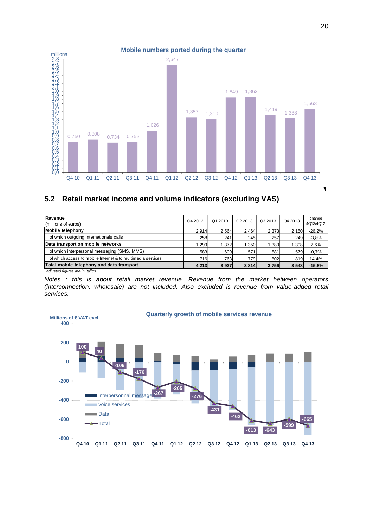

# <span id="page-19-0"></span>**5.2 Retail market income and volume indicators (excluding VAS)**

| Revenue<br>(millions of euros)                              | Q4 2012 | Q1 2013 | Q <sub>2</sub> 2013 | Q3 2013 | Q4 2013 | change<br>4Q13/4Q12 |
|-------------------------------------------------------------|---------|---------|---------------------|---------|---------|---------------------|
| <b>Mobile telephony</b>                                     | 2914    | 2 5 6 4 | 2 4 6 4             | 2 3 7 3 | 2 1 5 0 | $-26,2%$            |
| of which outgoing internationals calls                      | 258     | 241     | 245                 | 257     | 249     | $-3.8%$             |
| Data transport on mobile networks                           | 299     | 1 372   | 350                 | 383     | 1 3 9 8 | 7,6%                |
| of which interpersonal messaging (SMS, MMS)                 | 583     | 609     | 571                 | 581     | 579     | $-0.7%$             |
| of which access to mobile Internet & to multimedia services | 716     | 763     | 779                 | 802     | 819     | 14,4%               |
| Total mobile telephony and data transport                   | 4 2 1 3 | 3 9 3 7 | 3814                | 3756    | 3 5 4 8 | $-15,8%$            |

 *adjusted figures are in italics*

*Notes : this is about retail market revenue. Revenue from the market between operators (interconnection, wholesale) are not included. Also excluded is revenue from value-added retail services.*

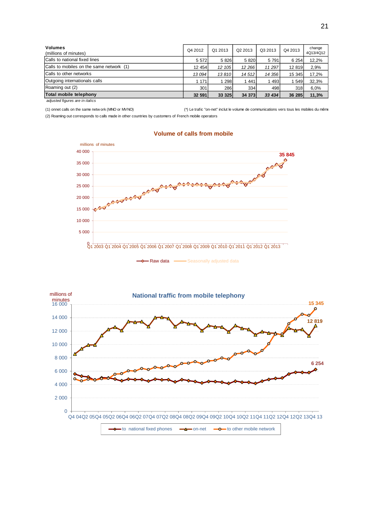| Volumes<br>(millions of minutes)         | Q4 2012 | Q1 2013 | Q <sub>2</sub> 2013 | Q3 2013 | Q4 2013 | change<br>4Q13/4Q12 |
|------------------------------------------|---------|---------|---------------------|---------|---------|---------------------|
| Calls to national fixed lines            | 5 5 7 2 | 5826    | 5 8 20              | 5 7 9 1 | 6 2 5 4 | 12,2%               |
| Calls to mobiles on the same network (1) | 12 454  | 12 105  | 12 266              | 11 297  | 12 819  | 2,9%                |
| Calls to other networks                  | 13 094  | 13810   | 14512               | 14 356  | 15 345  | 17,2%               |
| Outgoing internationals calls            | 171     | 1298    | 1441                | 1493    | 549     | 32,3%               |
| Roaming out (2)                          | 301     | 286     | 334                 | 498     | 318     | 6,0%                |
| Total mobile telephony                   | 32 591  | 33 3 25 | 34 373              | 33 434  | 36 285  | 11,3%               |

(1) onnet calls on the same netw ork (MNO or MVNO) (2) Roaming out corresponds to calls made in other countries by customers of French mobile operators (\*) Le trafic "on-net" inclut le volume de communications vers tous les mobiles du même



#### **Volume of calls from mobile**

- Raw data 
Seasonally adjusted data

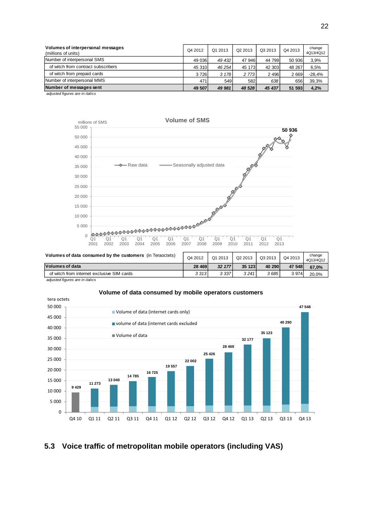| Volumes of interpersonal messages<br>(millions of units) | Q4 2012 | Q1 2013 | Q2 2013 | Q3 2013 | Q4 2013 | change<br>4Q13/4Q12 |
|----------------------------------------------------------|---------|---------|---------|---------|---------|---------------------|
| Number of interpersonal SMS                              | 49 036  | 49 432  | 47 946  | 44 799  | 50 936  | 3,9%                |
| of witch from contract subscribers                       | 45 310  | 46 254  | 45 173  | 42 303  | 48 267  | 6,5%                |
| of witch from prepaid cards                              | 3726    | 3 178   | 2 7 7 3 | 2 4 9 6 | 2 6 6 9 | $-28.4%$            |
| Number of interpersonal MMS                              | 471     | 549     | 582     | 638     | 656     | 39,3%               |
| Number of messages sent                                  | 49 507  | 49 981  | 48 528  | 45 437  | 51 593  | 4,2%                |
| odiunted figures are in italian                          |         |         |         |         |         |                     |



| <b>Polanics of data consumed by the castomers</b> (iii) relactions | Q4 2012 | Q1 2013 | Q2 2013 | Q3 2013 | Q4 2013 | ------<br>4Q13/4Q12 |
|--------------------------------------------------------------------|---------|---------|---------|---------|---------|---------------------|
| <b>Volumes of data</b>                                             | 28 4 69 | 32 177  | 35 123  | 40 290  | 47 548  | 67.0%               |
| of witch from internet exclusive SIM cards                         | 3 3 1 3 | 3 337   | 3 2 4 1 | 3 685   | 3 9 7 4 | 20.0%               |
|                                                                    |         |         |         |         |         |                     |

 *adjusted figures are in italics*

#### **Volume of data consumed by mobile operators customers**



# <span id="page-21-0"></span>**5.3 Voice traffic of metropolitan mobile operators (including VAS)**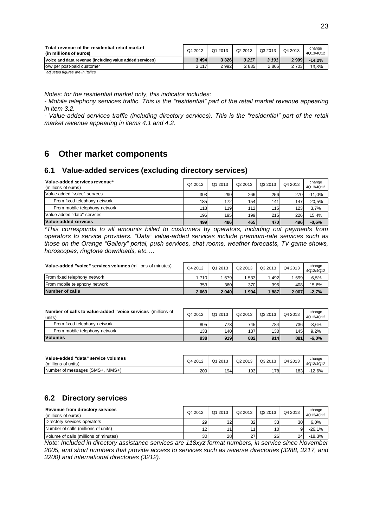| Total revenue of the residential retail marLet<br>(in millions of euros) | Q4 2012 | Q1 2013 | Q2 2013 | Q3 2013 | Q4 2013 | change<br>4Q13/4Q12 |
|--------------------------------------------------------------------------|---------|---------|---------|---------|---------|---------------------|
| Voice and data revenue (including value added services)                  | 3 4 9 4 | 3 3 2 6 | 3 2 1 7 | 3 1 9 1 | 2999    | $-14.2%$            |
|                                                                          | 3 1 1 7 | 2 9 9 2 | 2 8 3 5 | 2866    | 2 703   | -13,3%              |
| lo/w per post-paid customer                                              |         |         |         |         |         |                     |

*Notes: for the residential market only, this indicator includes:*

*- Mobile telephony services traffic. This is the "residential" part of the retail market revenue appearing in item 3.2.*

*- Value-added services traffic (including directory services). This is the "residential" part of the retail market revenue appearing in items 4.1 and 4.2.*

# <span id="page-22-0"></span>**6 Other market components**

### <span id="page-22-1"></span>**6.1 Value-added services (excluding directory services)**

| Value-added services revenue*<br>(millions of euros) | Q4 2012 | Q1 2013 | Q <sub>2</sub> 2013 | Q3 2013 | Q4 2013          | change<br>4Q13/4Q12 |
|------------------------------------------------------|---------|---------|---------------------|---------|------------------|---------------------|
| Value-added "voice" services                         | 303     | 290     | 266                 | 256     | 270              | $-11,0%$            |
| From fixed telephony network                         | 185     | 172     | 1541                | 141     | 147              | $-20,5%$            |
| From mobile telephony network                        | 118     | 119     | 112                 | 115     | 123 <sub>1</sub> | 3,7%                |
| Value-added "data" services                          | 196     | 195     | 199                 | 215     | 226              | 15,4%               |
| Value-added services                                 | 499     | 486     | 465                 | 470     | 496              | $-0.6%$             |

*\*This corresponds to all amounts billed to customers by operators, including out payments from operators to service providers. "Data" value-added services include premium-rate services such as those on the Orange "Gallery" portal, push services, chat rooms, weather forecasts, TV game shows, horoscopes, ringtone downloads, etc.…*

| Value-added "voice" services volumes (millions of minutes) | Q4 2012 | Q1 2013 | Q <sub>2</sub> 2013 | Q3 2013 | Q4 2013 | change<br>4Q13/4Q12 |
|------------------------------------------------------------|---------|---------|---------------------|---------|---------|---------------------|
| From fixed telephony network                               | 1 7 1 0 | 679     | 533                 | 492     | 599     | -6,5%               |
| From mobile telephony network                              | 353     | 360     | 370                 | 395     | 408     | 15.6%               |
| Number of calls                                            | 2 0 63  | 2 0 4 0 | 1904                | 1887    | 2 0 0 7 | $-2.7%$             |

| Number of calls to value-added "voice services (millions of<br>units) | Q4 2012 | Q1 2013 | Q <sub>2</sub> 2013 | Q3 2013          | Q4 2013 | change<br>4Q13/4Q12 |
|-----------------------------------------------------------------------|---------|---------|---------------------|------------------|---------|---------------------|
| From fixed telephony network                                          | 805     | 778     | 745                 | 784              | 7361    | $-8.6%$             |
| From mobile telephony network                                         | 133     | 140     | 137                 | 130 <sup>l</sup> | 145     | 9.2%                |
| <b>Volumes</b>                                                        | 938     | 919     | 882                 | 914              | 881     | $-6.0%$             |

| Value-added "data" service volumes<br>(millions of units) | Q4 2012 | Q1 2013 | Q2 2013 | Q3 2013 | Q4 2013 | change<br>4Q13/4Q12 |
|-----------------------------------------------------------|---------|---------|---------|---------|---------|---------------------|
| $MMS+1$<br>Number of messages (SMS+,                      | 209     | 194     | 1931    | 1781    | 1831    | $-12.6%$            |

# <span id="page-22-2"></span>**6.2 Directory services**

| Revenue from directory services<br>(millions of euros) | Q4 2012 | Q1 2013 | Q2 2013         | Q3 2013 | Q4 2013         | change<br>4Q13/4Q12 |
|--------------------------------------------------------|---------|---------|-----------------|---------|-----------------|---------------------|
| Directory services operators                           | 29      | 32      | 32 <sub>1</sub> | 33      | 30              | 6,0%                |
| Number of calls (millions of units)                    | 12      |         |                 | 101     | 9               | $-26.1%$            |
| Volume of calls (millions of minutes)                  | 30      | 28      | 271             | 26      | 24 <sub>1</sub> | $-18.3%$            |

*Note: Included in directory assistance services are 118xyz format numbers, in service since November 2005, and short numbers that provide access to services such as reverse directories (3288, 3217, and 3200) and international directories (3212).*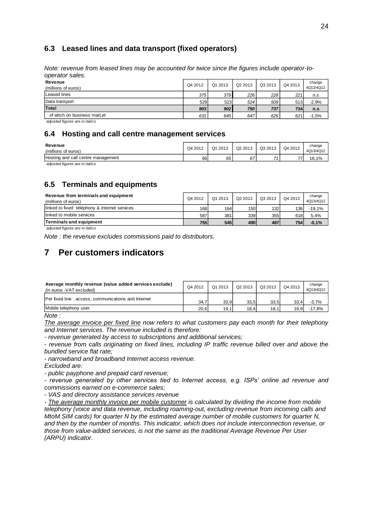# <span id="page-23-0"></span>**6.3 Leased lines and data transport (fixed operators)**

*Note: revenue from leased lines may be accounted for twice since the figures include operator-tooperator sales.*

| Revenue<br>(millions of euros) | Q4 2012 | Q1 2013 | Q2 2013 | Q3 2013 | Q4 2013 | change<br>4Q13/4Q12 |
|--------------------------------|---------|---------|---------|---------|---------|---------------------|
| Leased lines                   | 375     | 379     | 226     | 228     | 221     | n.s                 |
| Data transport                 | 529     | 523     | 524     | 509     | 513     | $-2,9%$             |
| Total                          | 903     | 902     | 750     | 737     | 734     | n.s                 |
| of witch on business marLet    | 631     | 645     | 647     | 626     | 621     | $-1,5%$             |

 *adjusted figures are in italics*

### <span id="page-23-1"></span>**6.4 Hosting and call centre management services**

| Revenue<br>(millions of euros)     | Q4 2012 | Q1 2013 | Q2 2013 | Q3 2013 | Q4 2013        | change<br>4Q13/4Q12 |
|------------------------------------|---------|---------|---------|---------|----------------|---------------------|
| Hosting and call centre management | 66      | 65      | 67      | 74      | $\overline{ }$ | 16.1%               |

 *adjusted figures are in italics*

# <span id="page-23-2"></span>**6.5 Terminals and equipments**

| Revenue from terminals and equipment<br>(millions of euros) | Q4 2012 | Q1 2013 | Q <sub>2</sub> 2013 | Q3 2013 | Q4 2013          | change<br>4Q13/4Q12 |
|-------------------------------------------------------------|---------|---------|---------------------|---------|------------------|---------------------|
| linked to fixed téléphony & Internet services               | 168     | 164     | 150                 | 132     | 136 <sub>1</sub> | -19.1%              |
| linked to mobile services                                   | 587l    | 381     | 339                 | 355     | 618              | 5.4%                |
| Terminals and equipment                                     | 755     | 545     | 490                 | 487     | 754              | $-0.1%$             |

 *adjusted figures are in italics*

<span id="page-23-3"></span>*Note : the revenue excludes commissions paid to distributors.*

# **7 Per customers indicators**

| Average monthly revenue (value added services exclude)<br>(in euros -VAT excluded) | Q4 2012 | Q1 2013 | Q <sub>2</sub> 2013 | Q3 2013 | Q4 2013 | change<br>4Q13/4Q12 |
|------------------------------------------------------------------------------------|---------|---------|---------------------|---------|---------|---------------------|
| Per fixed line: access, communications and Internet                                | 34.7    | 33.9    | 33.5                | 33.5    | 33.4    | $-3.7%$             |
| Mobile telephony user                                                              | 20,6    | 19,1    | 18.4                | 18.1    | 16.9    | $-17.8%$            |

*Note :* 

*The average invoice per fixed line now refers to what customers pay each month for their telephony and Internet services. The revenue included is therefore:*

*- revenue generated by access to subscriptions and additional services;*

*- revenue from calls originating on fixed lines, including IP traffic revenue billed over and above the bundled service flat rate;*

*- narrowband and broadband Internet access revenue.*

*Excluded are:*

*- public payphone and prepaid card revenue;*

*- revenue generated by other services tied to Internet access, e.g. ISPs' online ad revenue and commissions earned on e-commerce sales;*

*- VAS and directory assistance services revenue*

*- The average monthly invoice per mobile customer is calculated by dividing the income from mobile telephony (voice and data revenue, including roaming-out, excluding revenue from incoming calls and MtoM SIM cards) for quarter N by the estimated average number of mobile customers for quarter N, and then by the number of months. This indicator, which does not include interconnection revenue, or those from value-added services, is not the same as the traditional Average Revenue Per User (ARPU) indicator.*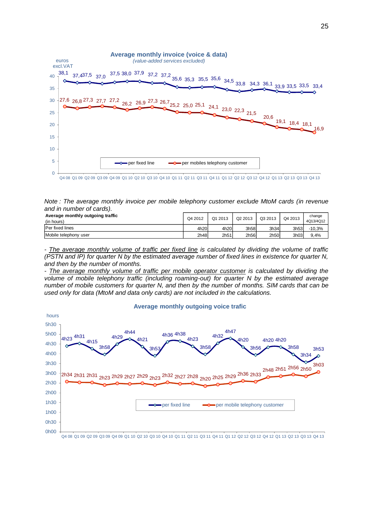

*Note : The average monthly invoice per mobile telephony customer exclude MtoM cards (in revenue and in number of cards).*

| Average monthly outgoing traffic<br>(in hours) | Q4 2012 | Q1 2013          | Q <sub>2</sub> 2013 | Q3 2013 | Q4 2013 | change<br>4Q13/4Q12 |
|------------------------------------------------|---------|------------------|---------------------|---------|---------|---------------------|
| Per fixed lines                                | 4h20    | 4h20             | 3h58                | 3h34    | 3h53    | $-10,3%$            |
| Mobile telephony user                          | 2h48    | 2h <sub>51</sub> | 2h56                | 2h50    | 3h03    | 9,4%                |

*- The average monthly volume of traffic per fixed line is calculated by dividing the volume of traffic (PSTN and IP) for quarter N by the estimated average number of fixed lines in existence for quarter N, and then by the number of months.*

*- The average monthly volume of traffic per mobile operator customer is calculated by dividing the volume of mobile telephony traffic (including roaming-out) for quarter N by the estimated average number of mobile customers for quarter N, and then by the number of months. SIM cards that can be used only for data (MtoM and data only cards) are not included in the calculations.*

#### **Average monthly outgoing voice trafic**

![](_page_24_Figure_6.jpeg)

Q4 08 Q1 09 Q2 09 Q3 09 Q4 09 Q1 10 Q2 10 Q3 10 Q4 10 Q1 11 Q2 11 Q3 11 Q4 11 Q1 12 Q2 12 Q3 12 Q4 12 Q1 13 Q2 13 Q3 13 Q4 13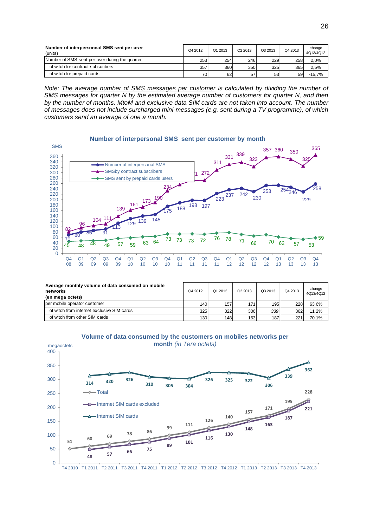| Number of interpersonnal SMS sent per user<br>(units) | Q4 2012 | Q1 2013 | Q2 2013 | Q3 2013 | Q4 2013 | change<br>4Q13/4Q12 |
|-------------------------------------------------------|---------|---------|---------|---------|---------|---------------------|
| Number of SMS sent per user during the quarter        | 253     | 254     | 246     | 229     | 258     | 2,0%                |
| of witch for contract subscribers                     | 357     | 360     | 350     | 325     | 365     | 2.5%                |
| of witch for prepaid cards                            | 70      | 62      | 57      | 53      | 59      | $-15.7%$            |

*Note: The average number of SMS messages per customer is calculated by dividing the number of SMS messages for quarter N by the estimated average number of customers for quarter N, and then by the number of months. MtoM and exclusive data SIM cards are not taken into account. The number of messages does not include surcharged mini-messages (e.g. sent during a TV programme), of which customers send an average of one a month.*

![](_page_25_Figure_2.jpeg)

| Average monthly volume of data consumed on mobile<br>networks<br>(en mega octets) | Q4 2012          | Q1 2013 | Q <sub>2</sub> 2013 | Q3 2013 | Q4 2013 | change<br>4Q13/4Q12 |
|-----------------------------------------------------------------------------------|------------------|---------|---------------------|---------|---------|---------------------|
| per mobile operator customer                                                      | 140              | 157     | 171 <sub>1</sub>    | 195     | 228     | 63,6%               |
| of witch from internet exclusive SIM cards                                        | 325              | 322     | 306                 | 339     | 362     | 11.2%               |
| of witch from other SIM cards                                                     | 130 <sub>1</sub> | 148     | 163                 | 187     | 221     | 70,1%               |

![](_page_25_Figure_4.jpeg)

![](_page_25_Figure_5.jpeg)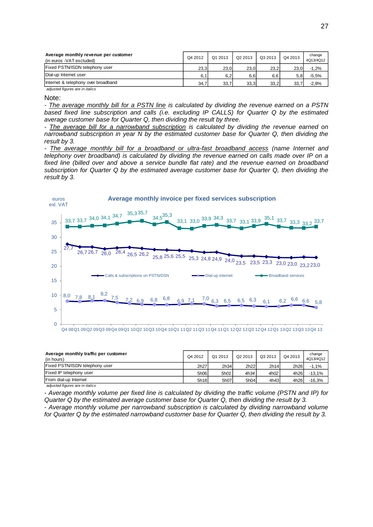| Average monthly revenue per customer<br>(in euros -VAT excluded) | Q4 2012 | Q1 2013 | Q <sub>2</sub> 2013 | Q3 2013 | Q4 2013 | change<br>4Q13/4Q12 |
|------------------------------------------------------------------|---------|---------|---------------------|---------|---------|---------------------|
| Fixed PSTN/ISDN telephony user                                   | 23.3    | 23.0    | 23.0                | 23.2    | 23.0    | $-1,2%$             |
| Dial-up Internet user                                            | 6,1     | 6,2     | 6,6                 | 6,6     |         | $-5,5%$             |
| Internet & telephony over broadband                              | 34.7    | 33,7    | 33.3                | 33.2    | 33      | $-2,8%$             |
| adjusted figures are in italics                                  |         |         |                     |         |         |                     |

Note:

*- The average monthly bill for a PSTN line is calculated by dividing the revenue earned on a PSTN based fixed line subscription and calls (i.e. excluding IP CALLS) for Quarter Q by the estimated average customer base for Quarter Q, then dividing the result by three.*

*- The average bill for a narrowband subscription is calculated by dividing the revenue earned on narrowband subscription in year N by the estimated customer base for Quarter Q, then dividing the result by 3.*

*- The average monthly bill for a broadband or ultra-fast broadband access (name Internet and telephony over broadband) is calculated by dividing the revenue earned on calls made over IP on a fixed line (billed over and above a service bundle flat rate) and the revenue earned on broadband subscription for Quarter Q by the estimated average customer base for Quarter Q, then dividing the result by 3.*

![](_page_26_Figure_6.jpeg)

| Average monthly traffic per customer<br>(in hours) | Q4 2012          | Q1 2013 | Q <sub>2</sub> 2013 | Q3 2013 | Q4 2013 | change<br>4Q13/4Q12 |
|----------------------------------------------------|------------------|---------|---------------------|---------|---------|---------------------|
| Fixed PSTN/ISDN telephony user                     | 2h <sub>27</sub> | 2h34    | 2h22                | 2h14    | 2h26    | $-1,1%$             |
| Fixed IP telephony user                            | 5h06             | 5h01    | 4h34                | 4h02    | 4h26    | $-13.1%$            |
| From dial-up Internet                              | 5h18             | 5h07    | 5h04                | 4h43    | 4h26    | $-16,3%$            |
| adjusted figures are in italics                    |                  |         |                     |         |         |                     |

*- Average monthly volume per fixed line is calculated by dividing the traffic volume (PSTN and IP) for Quarter Q by the estimated average customer base for Quarter Q, then dividing the result by 3. - Average monthly volume per narrowband subscription is calculated by dividing narrowband volume for Quarter Q by the estimated narrowband customer base for Quarter Q, then dividing the result by 3.*